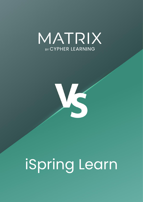



# iSpring Learn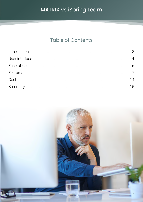## **Table of Contents**

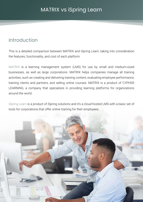## <span id="page-2-0"></span>Introduction

This is a detailed comparison between MATRIX and iSpring Learn, taking into consideration the features, functionality, and cost of each platform.

MATRIX is a learning management system (LMS) for use by small and medium-sized businesses, as well as large corporations. MATRIX helps companies manage all training activities, such as creating and delivering training content, evaluating employee performance, training clients and partners, and selling online courses. MATRIX is a product of CYPHER LEARNING, a company that specializes in providing learning platforms for organizations around the world.

iSpring Learn is a product of iSpring solutions and it's a cloud-hosted LMS with a basic set of tools for corporations that offer online training for their employees.

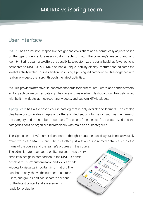## <span id="page-3-0"></span>User interface

MATRIX has an intuitive, responsive design that looks sharp and automatically adjusts based on the type of device. It is easily customizable to match the company's image, brand, and identity. iSpring Learn also offers the possibility to customize the portal but it has fewer options compared to MATRIX. MATRIX also has a unique "activity display" feature that indicates the level of activity within courses and groups using a pulsing indicator on their tiles together with real-time widgets that scroll through the latest activities.

MATRIX provides attractive tile-based dashboards for learners, instructors, and administrators, and a graphical resources catalog. The class and main admin dashboard can be customized with built-in widgets, ad-hoc reporting widgets, and custom HTML widgets.

iSpring Learn has a tile-based course catalog that is only available to learners. The catalog tiles have customizable images and offer a limited set of information such as the name of the category and the number of courses. The color of the tiles can't be customized and the categories can't be organized hierarchically with main and subcategories.

The iSpring Learn LMS learner dashboard, although it has a tile-based layout, is not as visually attractive as the MATRIX one. The tiles offer just a few course-related details such as the name of the course and the learner's progress in the course.

The administrator dashboard on iSpring Learn has a very simplistic design in comparison to the MATRIX admin dashboard. It isn't customizable and you can't add widgets to visualize important information. The dashboard only shows the number of courses, users, and groups and has separate sections for the latest content and assessments ready for evaluation.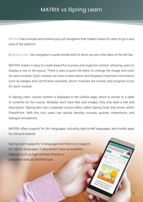MATRIX has a simple and intuitive pop-out navigation that makes it easy for users to go to any area of the platform.

In iSpring Learn, the navigation is quite simple and it's done via just a few tabs on the left bar.

MATRIX makes it easy to create beautiful courses and organize content, allowing users to display a row or tile layout. There is also a quick tile editor to change the image and color for each module. Each module can have a description and displays important information such as badges and certificates awarded, which modules are locked, and progress icons for each module.

In iSpring Learn, course content is displayed in the Outline page, which is similar to a table of contents for the course. Modules don't have tiles and images, they only have a title and description. iSpring also has a separate course editor called iSpring Suite that works within PowerPoint. With this tool, users can quickly develop courses, quizzes, interactions, and dialogue simulations.

MATRIX offers support for 40+ languages, including right-to-left languages, and mobile apps for iOS and Android.

iSpring Learn supports 14 languages but there is no support for right-to-languages. It also doesn't have accessibility features such as high contrast themes or underlined links as MATRIX does.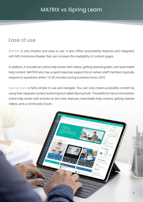## <span id="page-5-0"></span>Ease of use

MATRIX is very intuitive and easy to use. It also offers accessibility features and integrates with MS Immersive Reader that can increase the readability of content pages.

In addition, it includes an online help center with videos, getting started guides, and searchable help content. MATRIX also has a rapid response support forum where staff members typically respond to questions within 15-30 minutes during business hours 24/5.

iSpring Learn is fairly simple to use and navigate. You can only create accessible content by using their separate content authoring tool called iSpring Suite. The platform has a minimalistic online help center with articles on the main features, searchable help content, getting started videos, and a community forum.

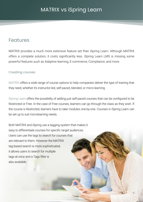## <span id="page-6-0"></span>Features

MATRIX provides a much more extensive feature set than iSpring Learn. Although MATRIX offers a complete solution, it costs significantly less. iSpring Learn LMS is missing some powerful features such as Adaptive learning, E-commerce, Compliance, and more.

#### Creating courses

MATRIX offers a wide range of course options to help companies deliver the type of training that they need, whether it's instructor-led, self-paced, blended, or micro learning.

iSpring Learn offers the possibility of adding just self-paced courses that can be configured to be Restricted or Free. In the case of Free courses, learners can go through the class as they wish. If the course is Restricted, learners have to take modules one-by-one. Courses in iSpring Learn can be set up to suit microlearning needs.

Both MATRIX and iSpring use a tagging system that makes it easy to differentiate courses for specific target audiences. Users can use the tags to search for courses that are relevant to them. However the MATRIX tag-based search is more sophisticated, it allows users to search for multiple tags at once and a Tags filter is also available.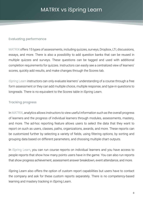#### Evaluating performance

MATRIX offers 15 types of assessments, including quizzes, surveys, Dropbox, LTI, discussions, essays, and more. There is also a possibility to add question banks that can be reused in multiple quizzes and surveys. These questions can be tagged and used with additional completion requirements for quizzes. Instructors can easily see a centralized view of learners' scores, quickly add results, and make changes through the Scores tab.

iSpring Learn instructors can only evaluate learners' understanding of a course through a free form assessment or they can add multiple choice, multiple response, and type-in questions to longreads. There is no equivalent to the Scores table in iSpring Learn.

#### Tracking progress

In MATRIX, analytics allows instructors to view useful information such as the overall progress of learners and the progress of individual learners through modules, assessments, mastery, and more. The ad-hoc reporting feature allows users to select the data that they want to report on such as users, classes, paths, organizations, awards, and more. These reports can be customized further by selecting a variety of fields, using filtering options, by sorting and grouping data based on different parameters, and choosing multiple chart outputs.

In iSpring Learn, you can run course reports on individual learners and you have access to people reports that show how many points users have in the game. You can also run reports that show progress achievement, assessment answer breakdown, event attendance, and more.

iSpring Learn also offers the option of custom report capabilities but users have to contact the company and ask for these custom reports separately. There is no competency-based learning and mastery tracking in iSpring Learn.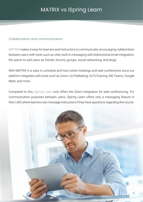#### Collaboration and communication

MATRIX makes it easy for learners and instructors to communicate, encouraging collaboration between users with tools such as chat, built-in messaging with bidirectional email integration, the option to add users as friends, forums, groups, social networking, and blogs.

With MATRIX it is easy to schedule and host online meetings and web conferences since our platform integrates with tools such as Zoom, GoToMeeting, GoToTraining, MS Teams, Google Meet, and more.

Compared to this, iSpring Learn only offers the Zoom integration for web conferencing. For communication purposes between users, iSpring Learn offers only a messaging feature in their LMS where learners can message instructors if they have questions regarding the course.

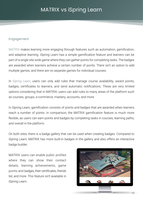#### Engagement

MATRIX makes learning more engaging through features such as automation, gamification, and adaptive learning. iSpring Learn has a simple gamification feature and learners can be part of a single site-wide game where they can gather points for completing tasks. The badges are awarded when learners achieve a certain number of points. There isn't an option to add multiple games, and there are no separate games for individual courses.

In iSpring Learn, users can only add rules that manage course availability, award points, badges, certificates to learners, and send automatic notifications. These are very limited options considering that in MATRIX, users can add rules to many areas of the platform such as courses, groups, e-commerce, mastery, accounts, and more.

In iSpring Learn, gamification consists of points and badges that are awarded when learners reach a number of points. In comparison, the MATRIX gamification feature is much more flexible, as users can earn points and badges by completing tasks in courses, learning paths, and overall in the platform.

On both sites, there is a badge gallery that can be used when creating badges. Compared to iSpring Learn, MATRIX has more built-in badges in the gallery and also offers an interactive badge builder.

MATRIX users can enable public profiles where they can show their contact details, learning achievements, game points and badges, their certificates, friends list, and more. This feature isn't available in iSpring Learn.

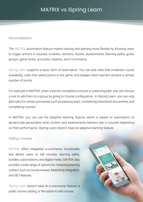#### Personalization

The MATRIX automation feature makes training and learning more flexible by allowing users to trigger actions in courses, modules, sections, scores, assessments, learning paths, goals, groups, game levels, accounts, mastery, and e-commerce.

iSpring Learn supports a basic form of automation. You can add rules that moderate course availability, rules that award points in the game, and badges when learners achieve a certain number of points.

For example in MATRIX, when a learner completes a course or a learning path, you can choose a rule to add them to a group by going to Course configuration. In iSpring Learn, you can only add rules for certain processes such as passing tests, completing theoretical documents, and completing courses.

In MATRIX, you can use the adaptive learning feature, which is based on automation, to dynamically personalize what content and assessments learners see in courses depending on their performance. iSpring Learn doesn't have an adaptive learning feature.

#### Selling courses

MATRIX offers integrated e-commerce functionality and allows users to sell courses, learning paths, bundles, subscriptions, and digital media. MATRIX also provides a wide range of options for marketing learning content, such as course reviews, Mailchimp integration, and SEO features.

iSpring Learn doesn't have an e-commerce feature, a public course catalog, or the option to sell courses.

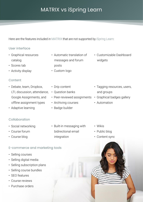Here are the features included in MATRIX that are not supported by iSpring Learn:

#### User interface

- Graphical resources catalog
- Scores tab
- Activity display

#### Content

- Debate, team, Dropbox, LTI, discussion, attendance, Google Assignments, and offline assignment types
- Adaptive learning

#### Collaboration

- Social networking
- Course forum
- Course blog

#### E-commerce and marketing tools

- Selling courses
- Selling digital media
- Selling subscription plans
- Selling course bundles
- SEO features
- Course reviews
- Purchase orders
- Automatic translation of messages and forum posts
- Custom logo
- Drip content
- Question banks
- Peer-reviewed assignments Graphical badges gallery
- Archiving courses
- Badge builder

• Customizable Dashboard widgets

- Tagging resources, users, and groups
- 
- Automation

- Built-in messaging with bidirectional email integration
- Wikis
- Public blog
- Content sync

12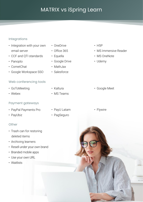#### Integrations

- Integration with your own email server
- CCF and QTI standards
- Panopto
- CometChat
- Google Workspace SSO

#### Web conferencing tools

- GoToMeeting
- Webex

#### Payment gateways

- PayPal Payments Pro
- PayUbiz

#### **Other**

- Trash can for restoring deleted items
- Archiving learners
- Resell under your own brand
- Branded mobile apps
- Use your own URL
- Waitlists
- OneDrive
	- Office 365
	- Equella
	- Google Drive
	- MathJax
	- Salesforce
	- Kaltura
	- MS Teams
- PayU Latam
	- PagSeguro
- H5P
- MS Immersive Reader
- MS OneNote
- Udemy

• Google Meet

13

• Flywire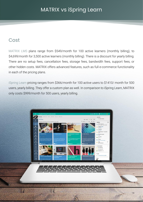## <span id="page-13-0"></span>**Cost**

MATRIX LMS plans range from \$549/month for 100 active learners (monthly billing), to \$4,699/month for 3,500 active learners (monthly billing). There is a discount for yearly billing. There are no setup fees, cancellation fees, storage fees, bandwidth fees, support fees, or other hidden costs. MATRIX offers advanced features, such as full e-commerce functionality in each of the pricing plans.

iSpring Learn pricing ranges from \$366/month for 100 active users to \$1410/ month for 500 users, yearly billing. They offer a custom plan as well. In comparison to iSpring Learn, MATRIX only costs \$999/month for 500 users, yearly billing.